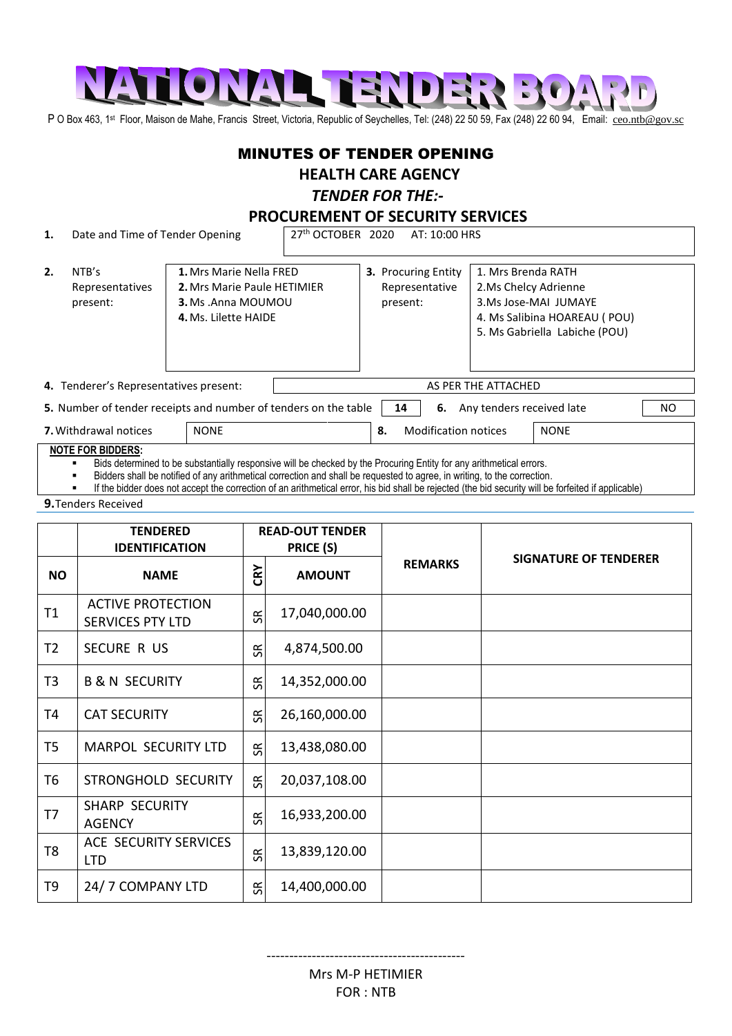

P O Box 463, 1<sup>st</sup> Floor, Maison de Mahe, Francis Street, Victoria, Republic of Seychelles, Tel: (248) 22 50 59, Fax (248) 22 60 94, Email: [ceo.ntb@gov.sc](mailto:ceo.ntb@gov.sc)

### MINUTES OF TENDER OPENING

# **HEALTH CARE AGENCY**

### *TENDER FOR THE:-*

**PROCUREMENT OF SECURITY SERVICES** 

**1.** Date and Time of Tender Opening 27<sup>th</sup> OCTOBER 2020 AT: 10:00 HRS

| 2.                                          | NTB's<br>Representatives<br>present:                            | 4. Ms. Lilette HAIDE | 1. Mrs Marie Nella FRED<br>2. Mrs Marie Paule HETIMIER<br><b>3.</b> Ms . Anna MOUMOU |                     | 3. Procuring Entity<br>Representative<br>present: | 1. Mrs Brenda RATH<br>2.Ms Chelcy Adrienne<br>3.Ms Jose-MAI JUMAYE<br>4. Ms Salibina HOAREAU (POU)<br>5. Ms Gabriella Labiche (POU) |  |     |
|---------------------------------------------|-----------------------------------------------------------------|----------------------|--------------------------------------------------------------------------------------|---------------------|---------------------------------------------------|-------------------------------------------------------------------------------------------------------------------------------------|--|-----|
|                                             | 4. Tenderer's Representatives present:                          |                      |                                                                                      | AS PER THE ATTACHED |                                                   |                                                                                                                                     |  |     |
|                                             | 5. Number of tender receipts and number of tenders on the table |                      |                                                                                      |                     | 6.<br>14                                          | Any tenders received late                                                                                                           |  | NO. |
| <b>NONE</b><br><b>7.</b> Withdrawal notices |                                                                 |                      |                                                                                      | 8.                  | <b>NONE</b><br><b>Modification notices</b>        |                                                                                                                                     |  |     |

#### **NOTE FOR BIDDERS:**

Bids determined to be substantially responsive will be checked by the Procuring Entity for any arithmetical errors.

Bidders shall be notified of any arithmetical correction and shall be requested to agree, in writing, to the correction.

If the bidder does not accept the correction of an arithmetical error, his bid shall be rejected (the bid security will be forfeited if applicable)

**9.**Tenders Received

|                | <b>TENDERED</b><br><b>IDENTIFICATION</b>            |           | <b>READ-OUT TENDER</b><br>PRICE (S) |                |                              |  |
|----------------|-----------------------------------------------------|-----------|-------------------------------------|----------------|------------------------------|--|
| <b>NO</b>      | <b>NAME</b>                                         | CRY       | <b>AMOUNT</b>                       | <b>REMARKS</b> | <b>SIGNATURE OF TENDERER</b> |  |
| T1             | <b>ACTIVE PROTECTION</b><br><b>SERVICES PTY LTD</b> | SR        | 17,040,000.00                       |                |                              |  |
| T <sub>2</sub> | SECURE R US                                         | œ         | 4,874,500.00                        |                |                              |  |
| T <sub>3</sub> | <b>B &amp; N SECURITY</b>                           | œ         | 14,352,000.00                       |                |                              |  |
| T4             | <b>CAT SECURITY</b>                                 | SК        | 26,160,000.00                       |                |                              |  |
| T <sub>5</sub> | <b>MARPOL SECURITY LTD</b>                          | SR.       | 13,438,080.00                       |                |                              |  |
| T <sub>6</sub> | STRONGHOLD SECURITY                                 | SR        | 20,037,108.00                       |                |                              |  |
| T7             | <b>SHARP SECURITY</b><br><b>AGENCY</b>              | SК        | 16,933,200.00                       |                |                              |  |
| T <sub>8</sub> | ACE SECURITY SERVICES<br><b>LTD</b>                 | SК        | 13,839,120.00                       |                |                              |  |
| T9             | 24/7 COMPANY LTD                                    | <b>SR</b> | 14,400,000.00                       |                |                              |  |

Mrs M-P HETIMIER FOR : NTB

--------------------------------------------